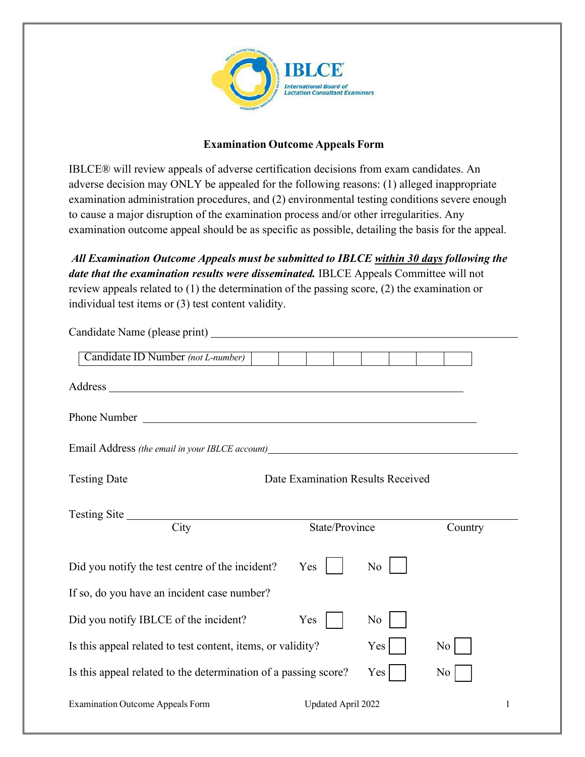

## **Examination Outcome Appeals Form**

IBLCE® will review appeals of adverse certification decisions from exam candidates. An adverse decision may ONLY be appealed for the following reasons: (1) alleged inappropriate examination administration procedures, and (2) environmental testing conditions severe enough to cause a major disruption of the examination process and/or other irregularities. Any examination outcome appeal should be as specific as possible, detailing the basis for the appeal.

*All Examination Outcome Appeals must be submitted to IBLCE within 30 days following the date that the examination results were disseminated.* IBLCE Appeals Committee will not review appeals related to (1) the determination of the passing score, (2) the examination or individual test items or (3) test content validity.

| Candidate ID Number (not L-number)                                                |                                                                 |     |         |  |
|-----------------------------------------------------------------------------------|-----------------------------------------------------------------|-----|---------|--|
|                                                                                   |                                                                 |     |         |  |
|                                                                                   |                                                                 |     |         |  |
| Email Address (the email in your IBLCE account)__________________________________ |                                                                 |     |         |  |
| <b>Testing Date</b>                                                               | Date Examination Results Received                               |     |         |  |
| Testing Site<br>City                                                              | State/Province                                                  |     | Country |  |
|                                                                                   |                                                                 |     |         |  |
| Did you notify the test centre of the incident?                                   | Yes                                                             | No  |         |  |
| If so, do you have an incident case number?                                       |                                                                 |     |         |  |
| Did you notify IBLCE of the incident?                                             | Yes                                                             | No  |         |  |
| Is this appeal related to test content, items, or validity?                       |                                                                 | Yes | No      |  |
|                                                                                   | Is this appeal related to the determination of a passing score? |     | No      |  |
| <b>Examination Outcome Appeals Form</b>                                           | Updated April 2022<br>1                                         |     |         |  |